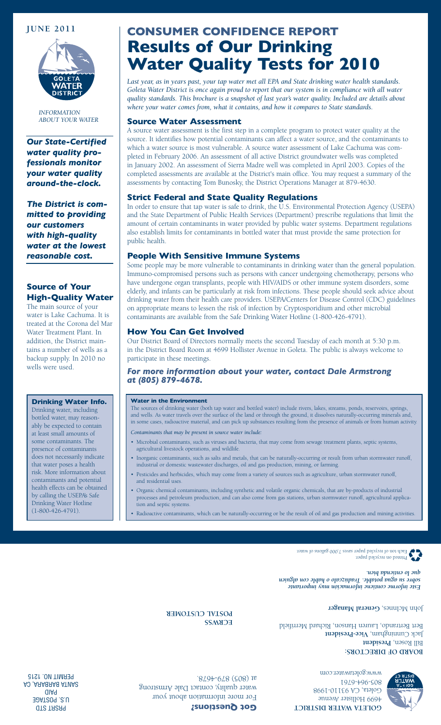

*INFORMATION ABOUT YOUR WATER*

*Our State-Certified water quality professionals monitor your water quality around-the-clock.*

*The District is committed to providing our customers with high-quality water at the lowest reasonable cost.*

# **Source of Your High-Quality Water**

The main source of your water is Lake Cachuma. It is treated at the Corona del Mar Water Treatment Plant. In addition, the District maintains a number of wells as a backup supply. In 2010 no wells were used.

#### **Drinking Water Info.**

Drinking water, including bottled water, may reasonably be expected to contain at least small amounts of some contaminants. The presence of contaminants does not necessarily indicate that water poses a health risk. More information about contaminants and potential health effects can be obtained by calling the USEPA's Safe Drinking Water Hotline (1-800-426-4791).

# **JUNE 2011 CONSUMER CONFIDENCE REPORT Results of Our Drinking Water Quality Tests for 2010**

*Last year, as in years past, your tap water met all EPA and State drinking water health standards. Goleta Water District is once again proud to report that our system is in compliance with all water quality standards. This brochure is a snapshot of last year's water quality. Included are details about where your water comes from, what it contains, and how it compares to State standards.* 

#### **Source Water Assessment**

A source water assessment is the first step in a complete program to protect water quality at the source. It identifies how potential contaminants can affect a water source, and the contaminants to which a water source is most vulnerable. A source water assessment of Lake Cachuma was completed in February 2006. An assessment of all active District groundwater wells was completed in January 2002. An assessment of Sierra Madre well was completed in April 2003. Copies of the completed assessments are available at the District's main office. You may request a summary of the assessments by contacting Tom Bunosky, the District Operations Manager at 879-4630.

### **Strict Federal and State Quality Regulations**

In order to ensure that tap water is safe to drink, the U.S. Environmental Protection Agency (USEPA) and the State Department of Public Health Services (Department) prescribe regulations that limit the amount of certain contaminants in water provided by public water systems. Department regulations also establish limits for contaminants in bottled water that must provide the same protection for public health.

#### **People With Sensitive Immune Systems**

Some people may be more vulnerable to contaminants in drinking water than the general population. Immuno-compromised persons such as persons with cancer undergoing chemotherapy, persons who have undergone organ transplants, people with HIV/AIDS or other immune system disorders, some elderly, and infants can be particularly at risk from infections. These people should seek advice about drinking water from their health care providers. USEPA/Centers for Disease Control (CDC) guidelines on appropriate means to lessen the risk of infection by Cryptosporidium and other microbial contaminants are available from the Safe Drinking Water Hotline (1-800-426-4791).

### **How You Can Get Involved**

Our District Board of Directors normally meets the second Tuesday of each month at 5:30 p.m. in the District Board Room at 4699 Hollister Avenue in Goleta. The public is always welcome to participate in these meetings.

#### *For more information about your water, contact Dale Armstrong at (805) 879-4678.*

#### **Water in the Environment**

The sources of drinking water (both tap water and bottled water) include rivers, lakes, streams, ponds, reservoirs, springs, and wells. As water travels over the surface of the land or through the ground, it dissolves naturally-occurring minerals and, in some cases, radioactive material, and can pick up substances resulting from the presence of animals or from human activity.

*Contaminants that may be present in source water include:*

- • Microbial contaminants, such as viruses and bacteria, that may come from sewage treatment plants, septic systems, agricultural livestock operations, and wildlife.
- • Inorganic contaminants, such as salts and metals, that can be naturally-occurring or result from urban stormwater runoff, industrial or domestic wastewater discharges, oil and gas production, mining, or farming.
- Pesticides and herbicides, which may come from a variety of sources such as agriculture, urban stormwater runoff, and residential uses.
- Organic chemical contaminants, including synthetic and volatile organic chemicals, that are by-products of industrial processes and petroleum production, and can also come from gas stations, urban stormwater runoff, agricultural application and septic systems.
- Radioactive contaminants, which can be naturally-occurring or be the result of oil and gas production and mining activities.

Printed on recycled paper. Each ton of recycled paper saves 7,000 gallons of water.

*Este informe contiene información muy importante sobre su agua potable. Tradúzcalo o hable con alguien que lo entienda bien.*

John McInnes, General Manager

**BOARD OF DIRECTORS: Bill Rosen, President** Jack Cunningham, Vice-President Bert Bertrando, Lauren Hanson, Richard Merrifield

**ECRWSS POSTAL CUSTOMER**

**WAI EK** 

**GOLETA WATER DISTRICT** 4699 Hollister Avenue Goleta, CA 93110-1998 805-964-6761 www.goletawater.com

For more information about your water quality, contact Dale Armstrong at (805) 879-4678.

**Got Questions?**

PRSRT STD U.S. POSTAGE PAID SANTA BARBARA, CA PERMIT NO. 1215